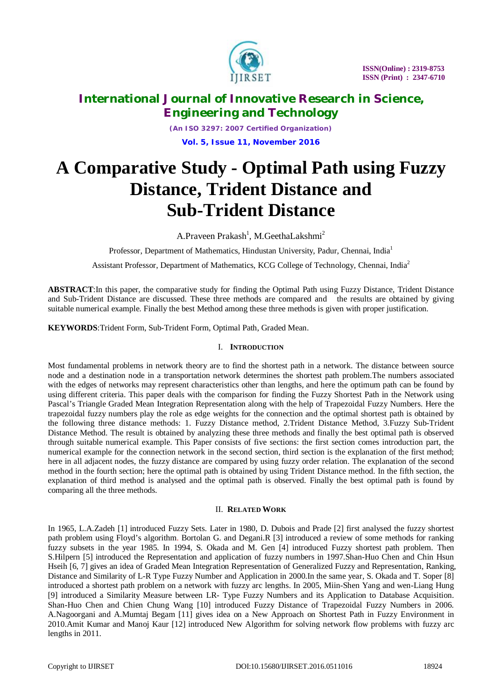

*(An ISO 3297: 2007 Certified Organization)* **Vol. 5, Issue 11, November 2016**

# **A Comparative Study - Optimal Path using Fuzzy Distance, Trident Distance and Sub-Trident Distance**

A.Praveen Prakash<sup>1</sup>, M.GeethaLakshmi<sup>2</sup>

Professor, Department of Mathematics, Hindustan University, Padur, Chennai, India<sup>1</sup>

Assistant Professor, Department of Mathematics, KCG College of Technology, Chennai, India<sup>2</sup>

**ABSTRACT**:In this paper, the comparative study for finding the Optimal Path using Fuzzy Distance, Trident Distance and Sub-Trident Distance are discussed. These three methods are compared and the results are obtained by giving suitable numerical example. Finally the best Method among these three methods is given with proper justification.

**KEYWORDS**:Trident Form, Sub-Trident Form, Optimal Path, Graded Mean.

### I. **INTRODUCTION**

Most fundamental problems in network theory are to find the shortest path in a network. The distance between source node and a destination node in a transportation network determines the shortest path problem.The numbers associated with the edges of networks may represent characteristics other than lengths, and here the optimum path can be found by using different criteria. This paper deals with the comparison for finding the Fuzzy Shortest Path in the Network using Pascal's Triangle Graded Mean Integration Representation along with the help of Trapezoidal Fuzzy Numbers. Here the trapezoidal fuzzy numbers play the role as edge weights for the connection and the optimal shortest path is obtained by the following three distance methods: 1. Fuzzy Distance method, 2.Trident Distance Method, 3.Fuzzy Sub-Trident Distance Method. The result is obtained by analyzing these three methods and finally the best optimal path is observed through suitable numerical example. This Paper consists of five sections: the first section comes introduction part, the numerical example for the connection network in the second section, third section is the explanation of the first method; here in all adjacent nodes, the fuzzy distance are compared by using fuzzy order relation. The explanation of the second method in the fourth section; here the optimal path is obtained by using Trident Distance method. In the fifth section, the explanation of third method is analysed and the optimal path is observed. Finally the best optimal path is found by comparing all the three methods.

#### II. **RELATED WORK**

In 1965, L.A.Zadeh [1] introduced Fuzzy Sets. Later in 1980, D. Dubois and Prade [2] first analysed the fuzzy shortest path problem using Floyd's algorithm. Bortolan G. and Degani.R [3] introduced a review of some methods for ranking fuzzy subsets in the year 1985. In 1994, S. Okada and M. Gen [4] introduced Fuzzy shortest path problem. Then S.Hilpern [5] introduced the Representation and application of fuzzy numbers in 1997.Shan-Huo Chen and Chin Hsun Hseih [6, 7] gives an idea of Graded Mean Integration Representation of Generalized Fuzzy and Representation, Ranking, Distance and Similarity of L-R Type Fuzzy Number and Application in 2000.In the same year, S. Okada and T. Soper [8] introduced a shortest path problem on a network with fuzzy arc lengths. In 2005, Miin-Shen Yang and wen-Liang Hung [9] introduced a Similarity Measure between LR- Type Fuzzy Numbers and its Application to Database Acquisition. Shan-Huo Chen and Chien Chung Wang [10] introduced Fuzzy Distance of Trapezoidal Fuzzy Numbers in 2006. A.Nagoorgani and A.Mumtaj Begam [11] gives idea on a New Approach on Shortest Path in Fuzzy Environment in 2010.Amit Kumar and Manoj Kaur [12] introduced New Algorithm for solving network flow problems with fuzzy arc lengths in 2011.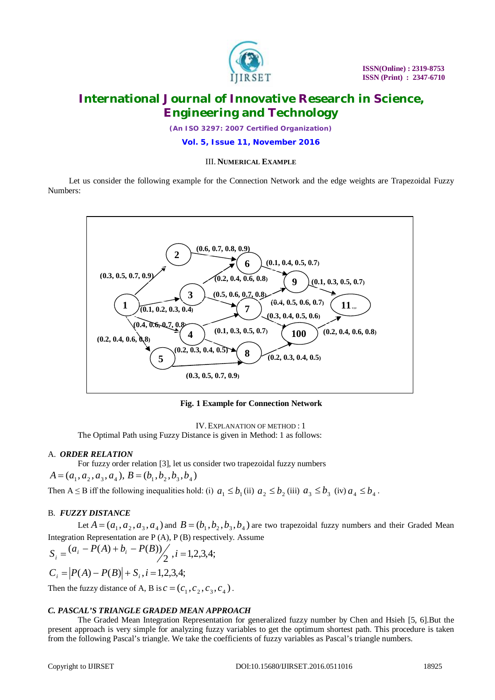

*(An ISO 3297: 2007 Certified Organization)*

**Vol. 5, Issue 11, November 2016**

#### III. **NUMERICAL EXAMPLE**

Let us consider the following example for the Connection Network and the edge weights are Trapezoidal Fuzzy Numbers:



**Fig. 1 Example for Connection Network**

IV.EXPLANATION OF METHOD : 1

The Optimal Path using Fuzzy Distance is given in Method: 1 as follows:

#### A. *ORDER RELATION*

For fuzzy order relation [3], let us consider two trapezoidal fuzzy numbers

 $A = (a_1, a_2, a_3, a_4), B = (b_1, b_2, b_3, b_4)$ 

Then A leq B iff the following inequalities hold: (i)  $a_1 \le b_1$  (ii)  $a_2 \le b_2$  (iii)  $a_3 \le b_3$  (iv)  $a_4 \le b_4$ .

#### B. *FUZZY DISTANCE*

Let  $A = (a_1, a_2, a_3, a_4)$  and  $B = (b_1, b_2, b_3, b_4)$  are two trapezoidal fuzzy numbers and their Graded Mean Integration Representation are P (A), P (B) respectively. Assume

$$
S_i = \frac{(a_i - P(A) + b_i - P(B))}{2}, i = 1, 2, 3, 4;
$$

 $C_i = |P(A) - P(B)| + S_i, i = 1,2,3,4;$ 

Then the fuzzy distance of A, B is  $c = (c_1, c_2, c_3, c_4)$ .

#### *C. PASCAL'S TRIANGLE GRADED MEAN APPROACH*

The Graded Mean Integration Representation for generalized fuzzy number by Chen and Hsieh [5, 6].But the present approach is very simple for analyzing fuzzy variables to get the optimum shortest path. This procedure is taken from the following Pascal's triangle. We take the coefficients of fuzzy variables as Pascal's triangle numbers.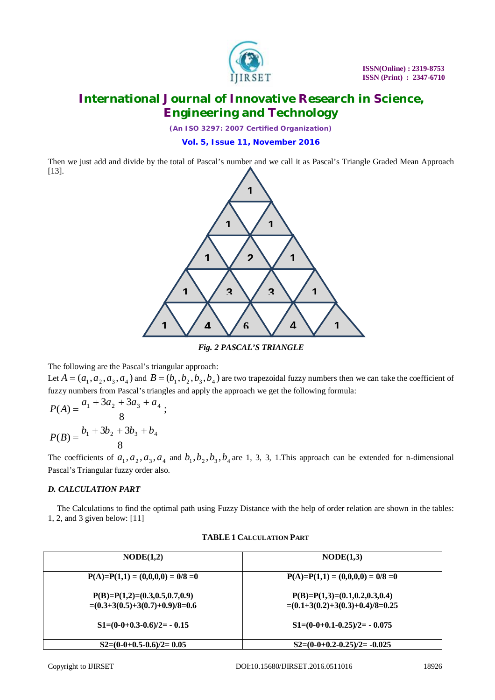

*(An ISO 3297: 2007 Certified Organization)*

### **Vol. 5, Issue 11, November 2016**

Then we just add and divide by the total of Pascal's number and we call it as Pascal's Triangle Graded Mean Approach [13].



*Fig. 2 PASCAL'S TRIANGLE*

The following are the Pascal's triangular approach:

Let  $A = (a_1, a_2, a_3, a_4)$  and  $B = (b_1, b_2, b_3, b_4)$  are two trapezoidal fuzzy numbers then we can take the coefficient of fuzzy numbers from Pascal's triangles and apply the approach we get the following formula:

$$
P(A) = \frac{a_1 + 3a_2 + 3a_3 + a_4}{8};
$$
  

$$
P(B) = \frac{b_1 + 3b_2 + 3b_3 + b_4}{8}
$$

The coefficients of  $a_1, a_2, a_3, a_4$  and  $b_1, b_2, b_3, b_4$  are 1, 3, 3, 1. This approach can be extended for n-dimensional Pascal's Triangular fuzzy order also.

### *D. CALCULATION PART*

The Calculations to find the optimal path using Fuzzy Distance with the help of order relation are shown in the tables: 1, 2, and 3 given below: [11]

| NODE(1,2)                                                           | $\text{NODE}(1,3)$                                                   |  |
|---------------------------------------------------------------------|----------------------------------------------------------------------|--|
| $P(A)=P(1,1)=(0,0,0,0)=0/8=0$                                       | $P(A)=P(1,1)=(0,0,0,0)=0/8=0$                                        |  |
| $P(B)=P(1,2)=(0.3,0.5,0.7,0.9)$<br>$=(0.3+3(0.5)+3(0.7)+0.9)/8=0.6$ | $P(B)=P(1,3)=(0.1,0.2,0.3,0.4)$<br>$=(0.1+3(0.2)+3(0.3)+0.4)/8=0.25$ |  |
| $S1=(0-0+0.3-0.6)/2= -0.15$                                         | $S1=(0-0+0.1-0.25)/2= -0.075$                                        |  |
| $S2=(0-0+0.5-0.6)/2=0.05$                                           | $S2=(0-0+0.2-0.25)/2 = -0.025$                                       |  |

#### **TABLE 1 CALCULATION PART**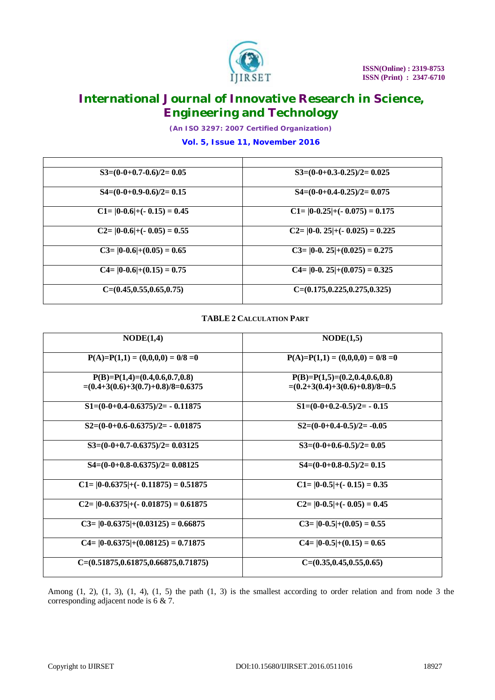

*(An ISO 3297: 2007 Certified Organization)*

### **Vol. 5, Issue 11, November 2016**

| $S3=(0-0+0.7-0.6)/2=0.05$       | $S3=(0-0+0.3-0.25)/2=0.025$        |
|---------------------------------|------------------------------------|
| $S4=(0-0+0.9-0.6)/2=0.15$       | $S4=(0-0+0.4-0.25)/2=0.075$        |
| $C1 =  0-0.6  + (-0.15) = 0.45$ | $C1 =  0-0.25  + (-0.075) = 0.175$ |
| $C2 =  0-0.6  + (-0.05) = 0.55$ | $C2 =  0-0.25  + (-0.025) = 0.225$ |
| $C3 =  0-0.6  + (0.05) = 0.65$  | $C3 =  0-0.25  + (0.025) = 0.275$  |
| $C4 =  0-0.6  + (0.15) = 0.75$  | $C4= 0-0.25 +(0.075)=0.325$        |
| $C=(0.45, 0.55, 0.65, 0.75)$    | $C=(0.175, 0.225, 0.275, 0.325)$   |

### **TABLE 2 CALCULATION PART**

| NODE(1,4)                                                              | NODE(1,5)                                                           |
|------------------------------------------------------------------------|---------------------------------------------------------------------|
| $P(A)=P(1,1)=(0,0,0,0)=0/8=0$                                          | $P(A)=P(1,1)=(0,0,0,0)=0/8=0$                                       |
| $P(B)=P(1,4)=(0.4,0.6,0.7,0.8)$<br>$=(0.4+3(0.6)+3(0.7)+0.8)/8=0.6375$ | $P(B)=P(1,5)=(0.2,0.4,0.6,0.8)$<br>$=(0.2+3(0.4)+3(0.6)+0.8)/8=0.5$ |
| $S1=(0-0+0.4-0.6375)/2=$ - 0.11875                                     | $S1=(0-0+0.2-0.5)/2= -0.15$                                         |
| $S2=(0-0+0.6-0.6375)/2= -0.01875$                                      | $S2=(0-0+0.4-0.5)/2=-0.05$                                          |
| $S3=(0-0+0.7-0.6375)/2=0.03125$                                        | $S3=(0-0+0.6-0.5)/2=0.05$                                           |
| $S4=(0-0+0.8-0.6375)/2=0.08125$                                        | $S4=(0-0+0.8-0.5)/2=0.15$                                           |
| $C1 =  0-0.6375  + (-0.11875) = 0.51875$                               | $C1 =  0-0.5  + (-0.15) = 0.35$                                     |
| $C2 =  0-0.6375  + (-0.01875) = 0.61875$                               | $C2 =  0-0.5  + (-0.05) = 0.45$                                     |
| $C3 =  0-0.6375  + (0.03125) = 0.66875$                                | $C3 =  0-0.5  + (0.05) = 0.55$                                      |
| $C4 =  0-0.6375  + (0.08125) = 0.71875$                                | $C4 =  0-0.5  + (0.15) = 0.65$                                      |
| $C=(0.51875, 0.61875, 0.66875, 0.71875)$                               | $C=(0.35, 0.45, 0.55, 0.65)$                                        |

Among  $(1, 2)$ ,  $(1, 3)$ ,  $(1, 4)$ ,  $(1, 5)$  the path  $(1, 3)$  is the smallest according to order relation and from node 3 the corresponding adjacent node is 6 & 7.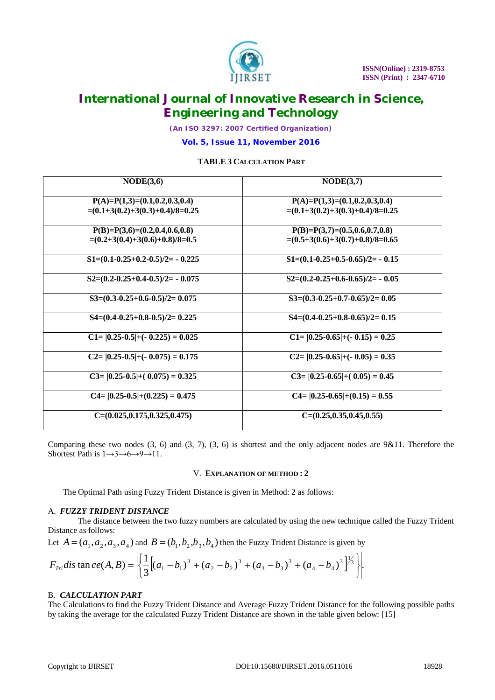

*(An ISO 3297: 2007 Certified Organization)*

**Vol. 5, Issue 11, November 2016**

#### **TABLE 3 CALCULATION PART**

| NODE(3,6)                                                            | NODE(3,7)                                                            |  |
|----------------------------------------------------------------------|----------------------------------------------------------------------|--|
| $P(A)=P(1,3)=(0.1,0.2,0.3,0.4)$<br>$=(0.1+3(0.2)+3(0.3)+0.4)/8=0.25$ | $P(A)=P(1,3)=(0.1,0.2,0.3,0.4)$<br>$=(0.1+3(0.2)+3(0.3)+0.4)/8=0.25$ |  |
| $P(B)=P(3,6)=(0.2,0.4,0.6,0.8)$<br>$=(0.2+3(0.4)+3(0.6)+0.8)/8=0.5$  | $P(B)=P(3,7)=(0.5,0.6,0.7,0.8)$<br>$=(0.5+3(0.6)+3(0.7)+0.8)/8=0.65$ |  |
| $S1=(0.1-0.25+0.2-0.5)/2= -0.225$                                    | $S1=(0.1-0.25+0.5-0.65)/2= -0.15$                                    |  |
| $S2=(0.2-0.25+0.4-0.5)/2= -0.075$                                    | $S2=(0.2-0.25+0.6-0.65)/2= -0.05$                                    |  |
| $S3=(0.3-0.25+0.6-0.5)/2=0.075$                                      | $S3=(0.3-0.25+0.7-0.65)/2=0.05$                                      |  |
| $S4=(0.4-0.25+0.8-0.5)/2=0.225$                                      | $S4=(0.4-0.25+0.8-0.65)/2=0.15$                                      |  |
| $C1 =  0.25-0.5  + (-0.225) = 0.025$                                 | $C1 =  0.25 - 0.65  + (-0.15) = 0.25$                                |  |
| $C2 =  0.25-0.5  + (-0.075) = 0.175$                                 | $C2 =  0.25 - 0.65  + (-0.05) = 0.35$                                |  |
| $C3 =  0.25-0.5  + (0.075) = 0.325$                                  | $C3 =  0.25 - 0.65  + (0.05) = 0.45$                                 |  |
| $C4 = \frac{10.25 - 0.5}{+ (0.225)} = 0.475$                         | $C4 =  0.25 - 0.65  + (0.15) = 0.55$                                 |  |
| $C=(0.025, 0.175, 0.325, 0.475)$                                     | $C=(0.25, 0.35, 0.45, 0.55)$                                         |  |

Comparing these two nodes  $(3, 6)$  and  $(3, 7)$ ,  $(3, 6)$  is shortest and the only adjacent nodes are  $9&11$ . Therefore the Shortest Path is  $1 \rightarrow 3 \rightarrow 6 \rightarrow 9 \rightarrow 11$ .

#### V. **EXPLANATION OF METHOD : 2**

The Optimal Path using Fuzzy Trident Distance is given in Method: 2 as follows:

#### A. *FUZZY TRIDENT DISTANCE*

The distance between the two fuzzy numbers are calculated by using the new technique called the Fuzzy Trident Distance as follows:

Let  $A = (a_1, a_2, a_3, a_4)$  and  $B = (b_1, b_2, b_3, b_4)$  then the Fuzzy Trident Distance is given by

$$
F_{Tri}dis \tan ce(A, B) = \left| \left\{ \frac{1}{3} \left[ (a_1 - b_1)^3 + (a_2 - b_2)^3 + (a_3 - b_3)^3 + (a_4 - b_4)^3 \right]^{1/3} \right\} \right|.
$$

#### B. *CALCULATION PART*

The Calculations to find the Fuzzy Trident Distance and Average Fuzzy Trident Distance for the following possible paths by taking the average for the calculated Fuzzy Trident Distance are shown in the table given below: [15]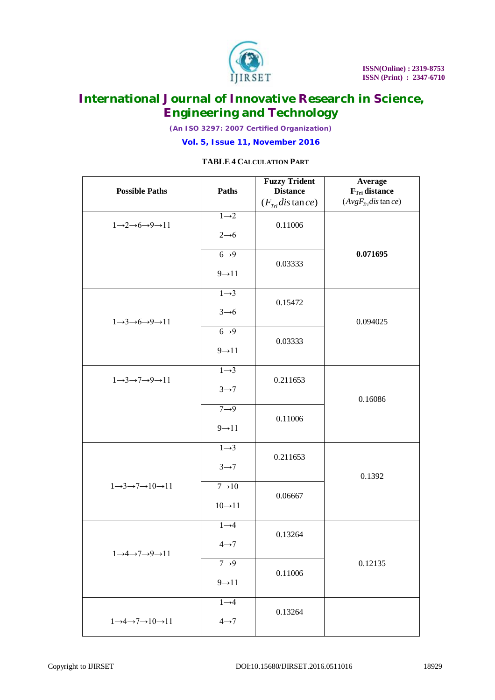

*(An ISO 3297: 2007 Certified Organization)*

**Vol. 5, Issue 11, November 2016**

### **TABLE 4 CALCULATION PART**

| <b>Possible Paths</b>                                         | Paths                                     | <b>Fuzzy Trident</b><br><b>Distance</b><br>$(F_{Tri}$ distance) | Average<br>$FTri$ distance<br>$(AvgFTridis \tan ce)$ |
|---------------------------------------------------------------|-------------------------------------------|-----------------------------------------------------------------|------------------------------------------------------|
| $1 \rightarrow 2 \rightarrow 6 \rightarrow 9 \rightarrow 11$  | $1\rightarrow 2$<br>$2 \rightarrow 6$     | 0.11006                                                         |                                                      |
|                                                               | $6 \rightarrow 9$<br>$9 \rightarrow 11$   | 0.03333                                                         | 0.071695                                             |
| $1 \rightarrow 3 \rightarrow 6 \rightarrow 9 \rightarrow 11$  | $1 \rightarrow 3$<br>$3 \rightarrow 6$    | 0.15472                                                         | 0.094025                                             |
|                                                               | $6 \rightarrow 9$<br>$9 \rightarrow 11$   | 0.03333                                                         |                                                      |
| $1 \rightarrow 3 \rightarrow 7 \rightarrow 9 \rightarrow 11$  | $1 \rightarrow 3$<br>$3 \rightarrow 7$    | 0.211653                                                        | 0.16086                                              |
|                                                               | $7 \rightarrow 9$<br>$9 \rightarrow 11$   | 0.11006                                                         |                                                      |
|                                                               | $1 \rightarrow 3$<br>$3 \rightarrow 7$    | 0.211653                                                        | 0.1392                                               |
| $1 \rightarrow 3 \rightarrow 7 \rightarrow 10 \rightarrow 11$ | $7 \rightarrow 10$<br>$10 \rightarrow 11$ | 0.06667                                                         |                                                      |
| $1 \rightarrow 4 \rightarrow 7 \rightarrow 9 \rightarrow 11$  | $1 \rightarrow 4$<br>$4 \rightarrow 7$    | 0.13264                                                         |                                                      |
|                                                               | $7 \rightarrow 9$<br>$9 \rightarrow 11$   | 0.11006                                                         | 0.12135                                              |
| $1 \rightarrow 4 \rightarrow 7 \rightarrow 10 \rightarrow 11$ | $1\rightarrow 4$<br>$4 \rightarrow 7$     | 0.13264                                                         |                                                      |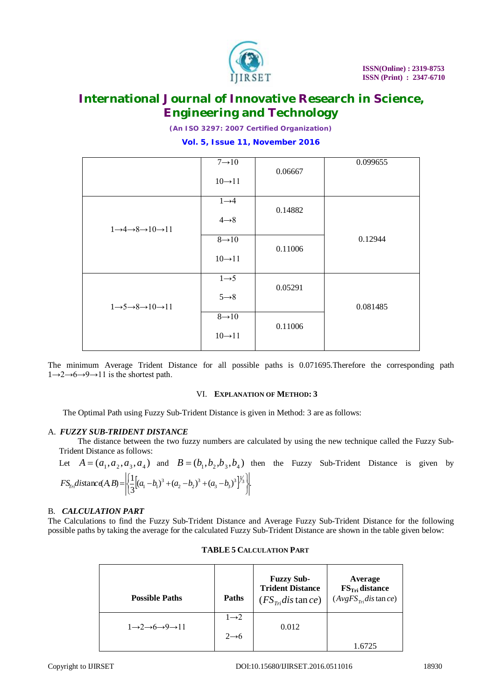

*(An ISO 3297: 2007 Certified Organization)*

### **Vol. 5, Issue 11, November 2016**

|                                                               | $7 \rightarrow 10$                        |         | 0.099655 |
|---------------------------------------------------------------|-------------------------------------------|---------|----------|
|                                                               | $10 \rightarrow 11$                       | 0.06667 |          |
| $1 \rightarrow 4 \rightarrow 8 \rightarrow 10 \rightarrow 11$ | $1\rightarrow 4$<br>$4 \rightarrow 8$     | 0.14882 |          |
|                                                               | $8 \rightarrow 10$<br>$10 \rightarrow 11$ | 0.11006 | 0.12944  |
| $1 \rightarrow 5 \rightarrow 8 \rightarrow 10 \rightarrow 11$ | $1 \rightarrow 5$<br>$5 \rightarrow 8$    | 0.05291 | 0.081485 |
|                                                               | $8 \rightarrow 10$<br>$10 \rightarrow 11$ | 0.11006 |          |

The minimum Average Trident Distance for all possible paths is 0.071695.Therefore the corresponding path  $1\rightarrow 2\rightarrow 6\rightarrow 9\rightarrow 11$  is the shortest path.

#### VI. **EXPLANATION OF METHOD: 3**

The Optimal Path using Fuzzy Sub-Trident Distance is given in Method: 3 are as follows:

#### A. *FUZZY SUB-TRIDENT DISTANCE*

The distance between the two fuzzy numbers are calculated by using the new technique called the Fuzzy Sub-Trident Distance as follows:

Let 
$$
A = (a_1, a_2, a_3, a_4)
$$
 and  $B = (b_1, b_2, b_3, b_4)$  then the Fuzzy Sub-Trident Distance is given by  
\n
$$
FS_{1/2}(\text{distance}(A, B)) = \left| \left( \frac{1}{3} [(a_1 - b_1)^3 + (a_2 - b_2)^3 + (a_3 - b_3)^3]^{\frac{1}{3}} \right) \right|.
$$

#### B. *CALCULATION PART*

The Calculations to find the Fuzzy Sub-Trident Distance and Average Fuzzy Sub-Trident Distance for the following possible paths by taking the average for the calculated Fuzzy Sub-Trident Distance are shown in the table given below:

| <b>Possible Paths</b>                                    | <b>Paths</b>                          | <b>Fuzzy Sub-</b><br><b>Trident Distance</b><br>$(FS_{\tau r}$ distance) | Average<br>FS <sub>Tri</sub> distance<br>$(AvgFStridis \tan ce)$ |
|----------------------------------------------------------|---------------------------------------|--------------------------------------------------------------------------|------------------------------------------------------------------|
| $1\rightarrow 2\rightarrow 6\rightarrow 9\rightarrow 11$ | $1\rightarrow 2$<br>$2 \rightarrow 6$ | 0.012                                                                    |                                                                  |

#### **TABLE 5 CALCULATION PART**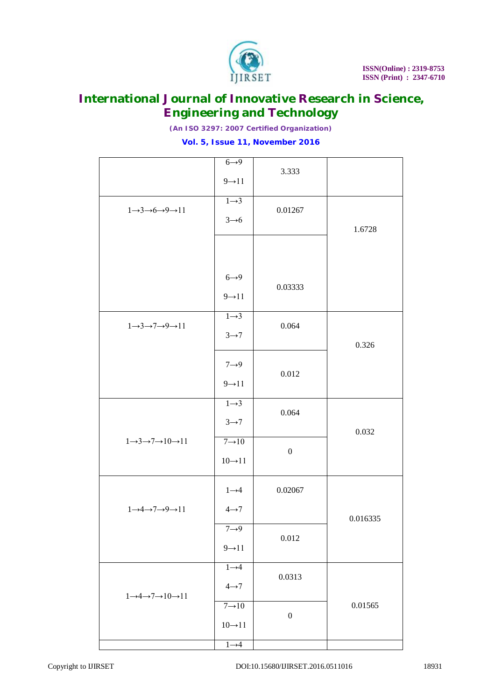

*(An ISO 3297: 2007 Certified Organization)*

### **Vol. 5, Issue 11, November 2016**

|                                                               | $6 \rightarrow 9$<br>$9 \rightarrow 11$   | 3.333            |          |
|---------------------------------------------------------------|-------------------------------------------|------------------|----------|
| $1 \rightarrow 3 \rightarrow 6 \rightarrow 9 \rightarrow 11$  | $1 \rightarrow 3$<br>$3 \rightarrow 6$    | 0.01267          | 1.6728   |
|                                                               |                                           |                  |          |
|                                                               | $6 \rightarrow 9$<br>$9 \rightarrow 11$   | 0.03333          |          |
| $1 \rightarrow 3 \rightarrow 7 \rightarrow 9 \rightarrow 11$  | $1 \rightarrow 3$<br>$3 \rightarrow 7$    | 0.064            | 0.326    |
|                                                               | $7 \rightarrow 9$<br>$9 \rightarrow 11$   | 0.012            |          |
|                                                               | $1 \rightarrow 3$<br>$3 \rightarrow 7$    | 0.064            | 0.032    |
| $1 \rightarrow 3 \rightarrow 7 \rightarrow 10 \rightarrow 11$ | $7 \rightarrow 10$<br>$10 \rightarrow 11$ | $\boldsymbol{0}$ |          |
| $1 \rightarrow 4 \rightarrow 7 \rightarrow 9 \rightarrow 11$  | $1 \rightarrow 4$<br>$4 \rightarrow 7$    | 0.02067          | 0.016335 |
|                                                               | $7 \rightarrow 9$<br>$9 \rightarrow 11$   | 0.012            |          |
| $1 \rightarrow 4 \rightarrow 7 \rightarrow 10 \rightarrow 11$ | $1 \rightarrow 4$<br>$4 \rightarrow 7$    | 0.0313           |          |
|                                                               | $7 \rightarrow 10$<br>$10\rightarrow 11$  | $\boldsymbol{0}$ | 0.01565  |
|                                                               | $1 \rightarrow 4$                         |                  |          |